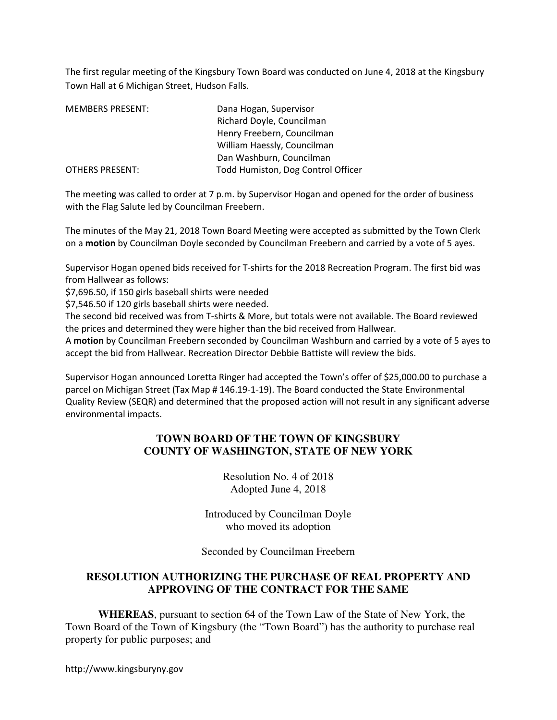The first regular meeting of the Kingsbury Town Board was conducted on June 4, 2018 at the Kingsbury Town Hall at 6 Michigan Street, Hudson Falls.

| <b>MEMBERS PRESENT:</b> | Dana Hogan, Supervisor             |
|-------------------------|------------------------------------|
|                         | Richard Doyle, Councilman          |
|                         | Henry Freebern, Councilman         |
|                         | William Haessly, Councilman        |
|                         | Dan Washburn, Councilman           |
| OTHERS PRESENT:         | Todd Humiston, Dog Control Officer |

The meeting was called to order at 7 p.m. by Supervisor Hogan and opened for the order of business with the Flag Salute led by Councilman Freebern.

The minutes of the May 21, 2018 Town Board Meeting were accepted as submitted by the Town Clerk on a motion by Councilman Doyle seconded by Councilman Freebern and carried by a vote of 5 ayes.

Supervisor Hogan opened bids received for T-shirts for the 2018 Recreation Program. The first bid was from Hallwear as follows:

\$7,696.50, if 150 girls baseball shirts were needed

\$7,546.50 if 120 girls baseball shirts were needed.

The second bid received was from T-shirts & More, but totals were not available. The Board reviewed the prices and determined they were higher than the bid received from Hallwear.

A motion by Councilman Freebern seconded by Councilman Washburn and carried by a vote of 5 ayes to accept the bid from Hallwear. Recreation Director Debbie Battiste will review the bids.

Supervisor Hogan announced Loretta Ringer had accepted the Town's offer of \$25,000.00 to purchase a parcel on Michigan Street (Tax Map # 146.19-1-19). The Board conducted the State Environmental Quality Review (SEQR) and determined that the proposed action will not result in any significant adverse environmental impacts.

# **TOWN BOARD OF THE TOWN OF KINGSBURY COUNTY OF WASHINGTON, STATE OF NEW YORK**

Resolution No. 4 of 2018 Adopted June 4, 2018

Introduced by Councilman Doyle who moved its adoption

Seconded by Councilman Freebern

# **RESOLUTION AUTHORIZING THE PURCHASE OF REAL PROPERTY AND APPROVING OF THE CONTRACT FOR THE SAME**

**WHEREAS**, pursuant to section 64 of the Town Law of the State of New York, the Town Board of the Town of Kingsbury (the "Town Board") has the authority to purchase real property for public purposes; and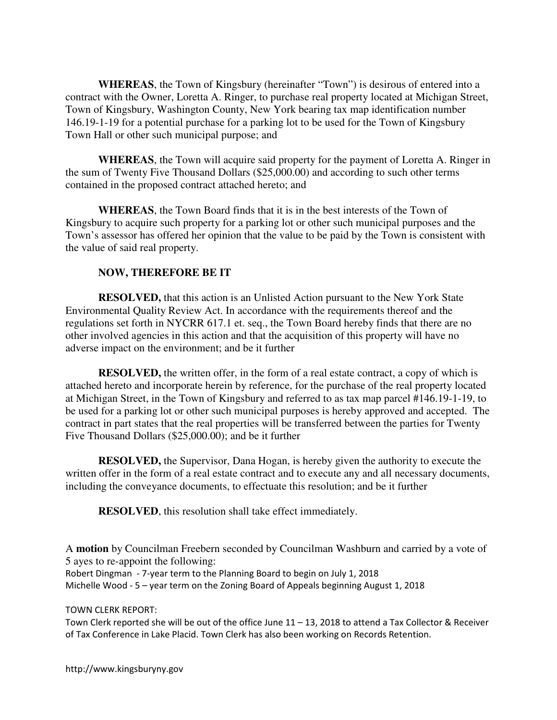**WHEREAS**, the Town of Kingsbury (hereinafter "Town") is desirous of entered into a contract with the Owner, Loretta A. Ringer, to purchase real property located at Michigan Street, Town of Kingsbury, Washington County, New York bearing tax map identification number 146.19-1-19 for a potential purchase for a parking lot to be used for the Town of Kingsbury Town Hall or other such municipal purpose; and

**WHEREAS**, the Town will acquire said property for the payment of Loretta A. Ringer in the sum of Twenty Five Thousand Dollars (\$25,000.00) and according to such other terms contained in the proposed contract attached hereto; and

**WHEREAS**, the Town Board finds that it is in the best interests of the Town of Kingsbury to acquire such property for a parking lot or other such municipal purposes and the Town's assessor has offered her opinion that the value to be paid by the Town is consistent with the value of said real property.

# **NOW, THEREFORE BE IT**

**RESOLVED,** that this action is an Unlisted Action pursuant to the New York State Environmental Quality Review Act. In accordance with the requirements thereof and the regulations set forth in NYCRR 617.1 et. seq., the Town Board hereby finds that there are no other involved agencies in this action and that the acquisition of this property will have no adverse impact on the environment; and be it further

**RESOLVED,** the written offer, in the form of a real estate contract, a copy of which is attached hereto and incorporate herein by reference, for the purchase of the real property located at Michigan Street, in the Town of Kingsbury and referred to as tax map parcel #146.19-1-19, to be used for a parking lot or other such municipal purposes is hereby approved and accepted. The contract in part states that the real properties will be transferred between the parties for Twenty Five Thousand Dollars (\$25,000.00); and be it further

**RESOLVED,** the Supervisor, Dana Hogan, is hereby given the authority to execute the written offer in the form of a real estate contract and to execute any and all necessary documents, including the conveyance documents, to effectuate this resolution; and be it further

**RESOLVED**, this resolution shall take effect immediately.

A **motion** by Councilman Freebern seconded by Councilman Washburn and carried by a vote of 5 ayes to re-appoint the following:

Robert Dingman - 7-year term to the Planning Board to begin on July 1, 2018

Michelle Wood - 5 – year term on the Zoning Board of Appeals beginning August 1, 2018

### TOWN CLERK REPORT:

Town Clerk reported she will be out of the office June 11 – 13, 2018 to attend a Tax Collector & Receiver of Tax Conference in Lake Placid. Town Clerk has also been working on Records Retention.